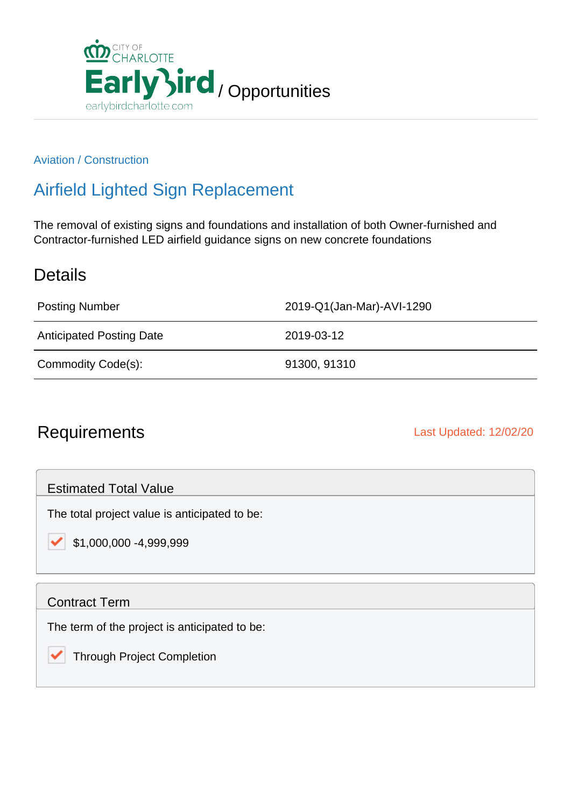

### Aviation / Construction

## Airfield Lighted Sign Replacement

The removal of existing signs and foundations and installation of both Owner-furnished and Contractor-furnished LED airfield guidance signs on new concrete foundations

### **Details**

Posting Number 2019-Q1(Jan-Mar)-AVI-1290

Anticipated Posting Date 2019-03-12

Commodity Code(s): 91300, 91310

## Requirements **Last Updated: 12/02/20**

Estimated Total Value

The total project value is anticipated to be:

\$1,000,000 -4,999,999

### Contract Term

է

The term of the project is anticipated to be:

Through Project Completion